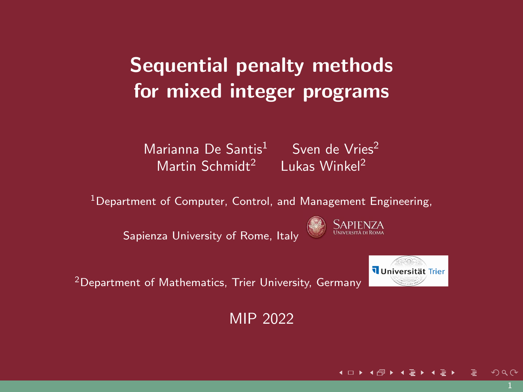# <span id="page-0-0"></span>Sequential penalty methods for mixed integer programs

Marianna De Santis $1$  Sven de Vries<sup>2</sup> Martin Schmidt<sup>2</sup> Lukas Winkel<sup>2</sup>

<sup>1</sup>Department of Computer, Control, and Management Engineering,

Sapienza University of Rome, Italy



<sup>2</sup>Department of Mathematics, Trier University, Germany

Universität Trier

MIP 2022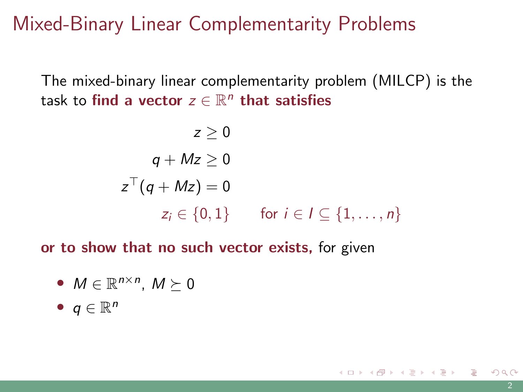Mixed-Binary Linear Complementarity Problems

The mixed-binary linear complementarity problem (MILCP) is the task to find a vector  $z\in\mathbb{R}^n$  that satisfies

$$
z \ge 0
$$
  
\n
$$
q + Mz \ge 0
$$
  
\n
$$
z^{\top} (q + Mz) = 0
$$
  
\n
$$
z_i \in \{0, 1\} \quad \text{for } i \in I \subseteq \{1, ..., n\}
$$

or to show that no such vector exists, for given

• 
$$
M \in \mathbb{R}^{n \times n}
$$
,  $M \succeq 0$ 

• 
$$
q \in \mathbb{R}^n
$$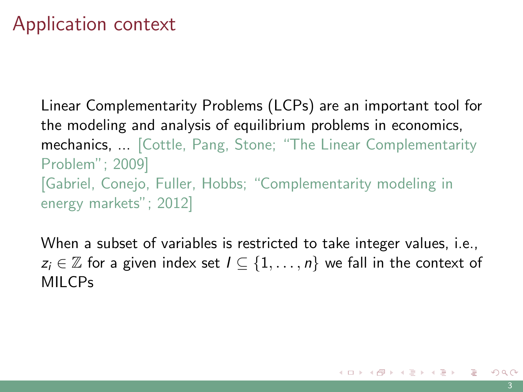# Application context

Linear Complementarity Problems (LCPs) are an important tool for the modeling and analysis of equilibrium problems in economics, mechanics, ... [Cottle, Pang, Stone; "The Linear Complementarity Problem"; 2009] [Gabriel, Conejo, Fuller, Hobbs; "Complementarity modeling in energy markets"; 2012]

When a subset of variables is restricted to take integer values, i.e.,  $z_i \in \mathbb{Z}$  for a given index set  $I \subseteq \{1, \ldots, n\}$  we fall in the context of MILCPs

K ロ ) K ( ① ) K ( 至 ) K ( 至 ) ( 三 글 )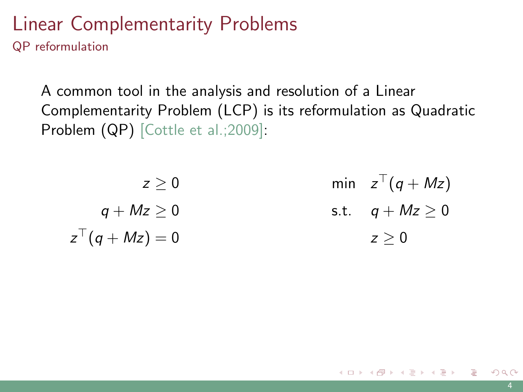#### Linear Complementarity Problems QP reformulation

A common tool in the analysis and resolution of a Linear Complementarity Problem (LCP) is its reformulation as Quadratic Problem (QP) [Cottle et al.; 2009]:

| z > 0              | min $z^{\top}(q+Mz)$ |
|--------------------|----------------------|
| $q+Mz\geq 0$       | s.t. $q + Mz \geq 0$ |
| $z^{\top}(q+Mz)=0$ | z > 0                |

K ロ ▶ K 個 ▶ K 경 ▶ K 경 ▶ X / 경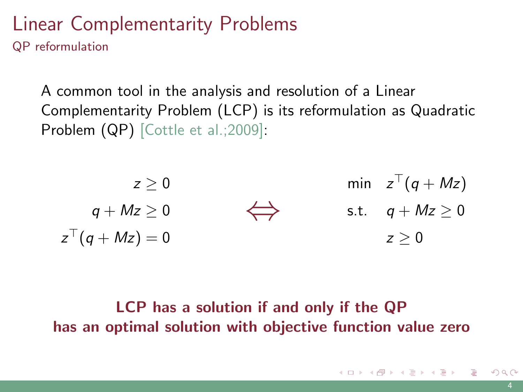#### Linear Complementarity Problems QP reformulation

A common tool in the analysis and resolution of a Linear Complementarity Problem (LCP) is its reformulation as Quadratic Problem (QP) [Cottle et al.; 2009]:

$$
z \geq 0 \qquad \qquad \min \quad z^{\top}(q+Mz)
$$
\n
$$
q + Mz \geq 0 \qquad \qquad \Longleftrightarrow \qquad \qquad \text{s.t.} \quad q + Mz \geq 0
$$
\n
$$
z^{\top}(q + Mz) = 0 \qquad \qquad z \geq 0
$$

#### LCP has a solution if and only if the QP has an optimal solution with objective function value zero

 $2040$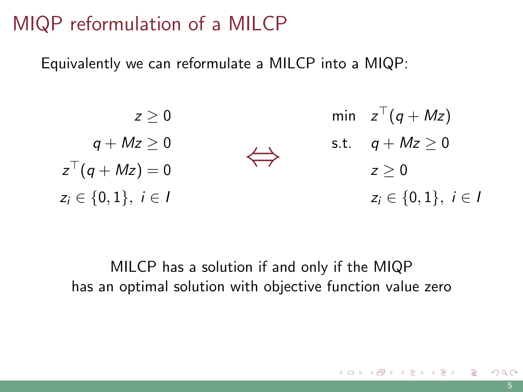## MIQP reformulation of a MILCP

Equivalently we can reformulate a MILCP into a MIQP:

$$
z \geq 0 \qquad \text{min} \quad z^{\top}(q + Mz)
$$
\n
$$
q + Mz \geq 0 \qquad \text{s.t.} \quad q + Mz \geq 0
$$
\n
$$
z^{\top}(q + Mz) = 0 \qquad \qquad z \geq 0
$$
\n
$$
z_i \in \{0, 1\}, \ i \in I \qquad \qquad z_i \in \{0, 1\}, \ i \in I
$$

MILCP has a solution if and only if the MIQP has an optimal solution with objective function value zero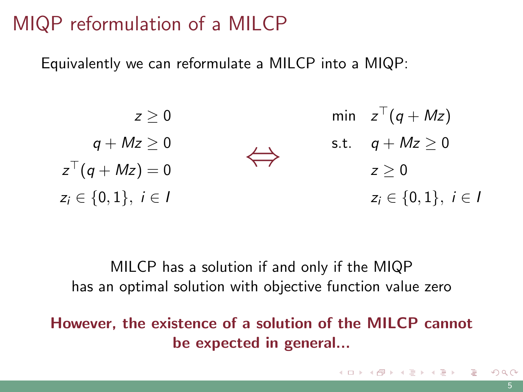## MIQP reformulation of a MILCP

Equivalently we can reformulate a MILCP into a MIQP:

$$
z \geq 0 \qquad \text{min} \quad z^{\top}(q + Mz)
$$
\n
$$
q + Mz \geq 0 \qquad \qquad \Longleftrightarrow \qquad \text{s.t.} \quad q + Mz \geq 0
$$
\n
$$
z^{\top}(q + Mz) = 0 \qquad \qquad z \geq 0
$$
\n
$$
z_i \in \{0, 1\}, \ i \in I \qquad \qquad z_i \in \{0, 1\}, \ i \in I
$$

MILCP has a solution if and only if the MIQP has an optimal solution with objective function value zero

However, the existence of a solution of the MILCP cannot be expected in general...

K ロ X K @ X K 호 X K 호 X (호 X )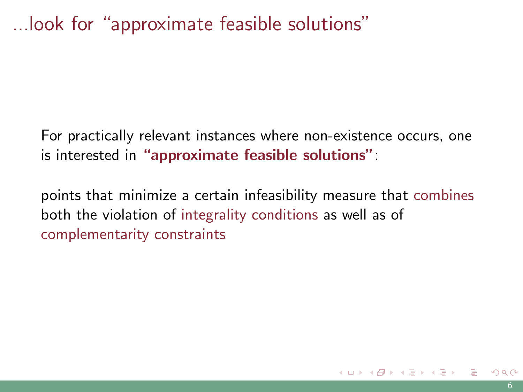## ...look for "approximate feasible solutions"

For practically relevant instances where non-existence occurs, one is interested in "approximate feasible solutions":

points that minimize a certain infeasibility measure that combines both the violation of integrality conditions as well as of complementarity constraints

 $\left\{ \begin{array}{ccc} \pm & \pm & \pm \end{array} \right.$  and  $\left\{ \begin{array}{ccc} \pm & \pm & \pm \end{array} \right.$  and  $\left\{ \begin{array}{ccc} \pm & \pm & \pm \end{array} \right.$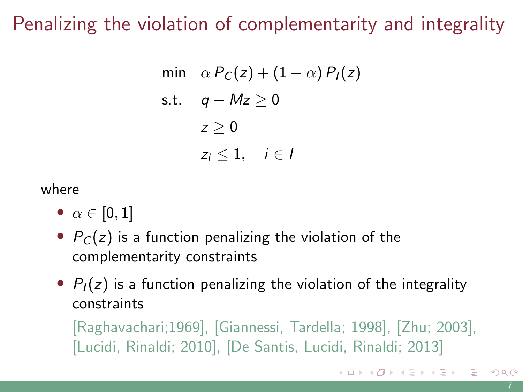# Penalizing the violation of complementarity and integrality

min 
$$
\alpha P_C(z) + (1 - \alpha) P_I(z)
$$
  
s.t.  $q + Mz \ge 0$   
 $z \ge 0$   
 $z_i \le 1, \quad i \in I$ 

where

- $\alpha \in [0, 1]$
- $P<sub>C</sub>(z)$  is a function penalizing the violation of the complementarity constraints
- $P_1(z)$  is a function penalizing the violation of the integrality constraints

[Raghavachari;1969], [Giannessi, Tardella; 1998], [Zhu; 2003], [Lucidi, Rinaldi; 2010], [De Santis, Lucidi, Rinaldi; 2013]

K ロ ▶ K 個 ▶ K 결 ▶ K 결 ▶ | 결 │ ◆ 9 Q ⊙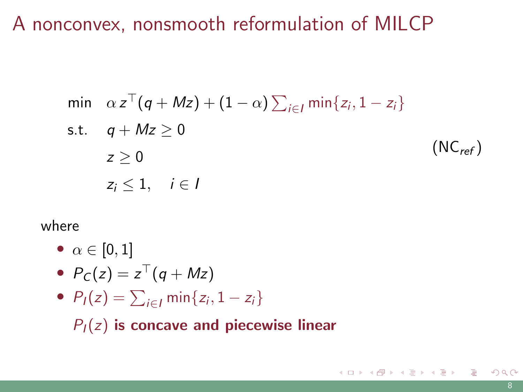### A nonconvex, nonsmooth reformulation of MILCP

<span id="page-9-0"></span>
$$
\begin{aligned}\n\min \quad &\alpha z^{\top} (q + Mz) + (1 - \alpha) \sum_{i \in I} \min \{ z_i, 1 - z_i \} \\
\text{s.t.} \quad & q + Mz \ge 0 \\
& z \ge 0 \\
& z_i \le 1, \quad i \in I\n\end{aligned}
$$
\n(NC<sub>ref</sub>)

#### where

•  $\alpha \in [0,1]$ 

• 
$$
P_C(z) = z^{\top}(q + Mz)
$$

•  $P_I(z) = \sum_{i \in I} \min\{z_i, 1 - z_i\}$ 

 $P_I(z)$  is concave and piecewise linear

K ロ ▶ K 個 ▶ K 결 ▶ K 결 ▶ │ 결 │ K) Q Q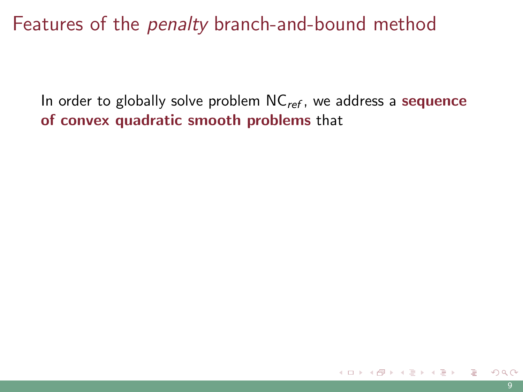In order to globally solve problem  $NC_{ref}$ , we address a sequence of convex quadratic smooth problems that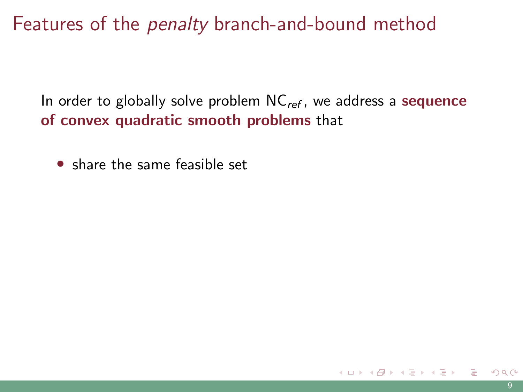In order to globally solve problem  $NC_{ref}$ , we address a sequence of convex quadratic smooth problems that

• share the same feasible set

イ何 ト イヨ ト イヨ ト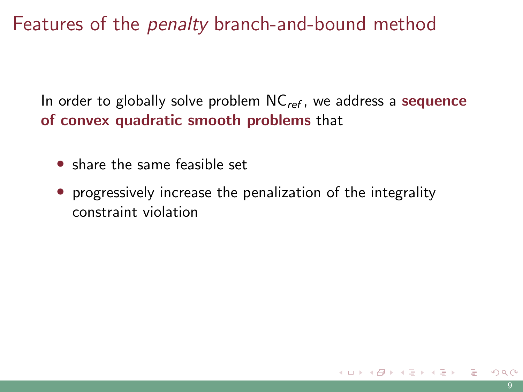In order to globally solve problem  $NC_{ref}$ , we address a sequence of convex quadratic smooth problems that

- share the same feasible set
- progressively increase the penalization of the integrality constraint violation

イロト イ押 トイヨ トイヨ トー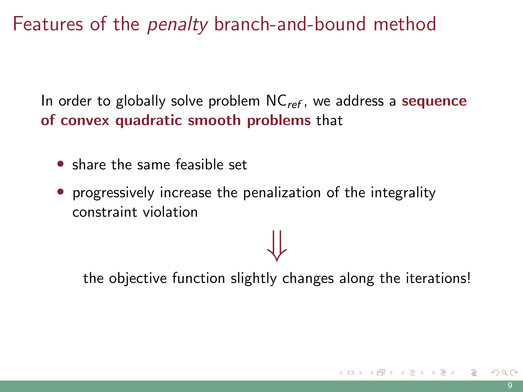In order to globally solve problem  $NC_{ref}$ , we address a sequence of convex quadratic smooth problems that

- share the same feasible set
- progressively increase the penalization of the integrality constraint violation

the objective function slightly changes along the iterations!

⇓

K ロ ▶ K 個 ▶ K 경 ▶ K 경 ▶ X / 경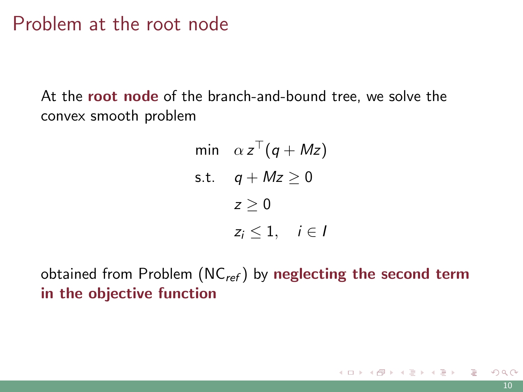### <span id="page-14-0"></span>Problem at the root node

At the **root node** of the branch-and-bound tree, we solve the convex smooth problem

min 
$$
\alpha z^T (q + Mz)
$$
  
s.t.  $q + Mz \ge 0$   
 $z \ge 0$   
 $z_i \le 1, \quad i \in I$ 

obtained from Problem  $(NC_{ref})$  $(NC_{ref})$  by neglecting the second term in the objective function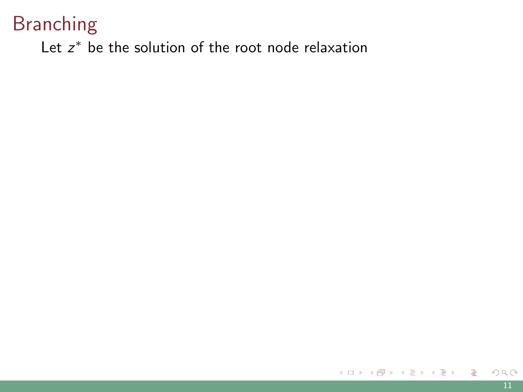<span id="page-15-0"></span>Let  $z^*$  be the solution of the root node relaxation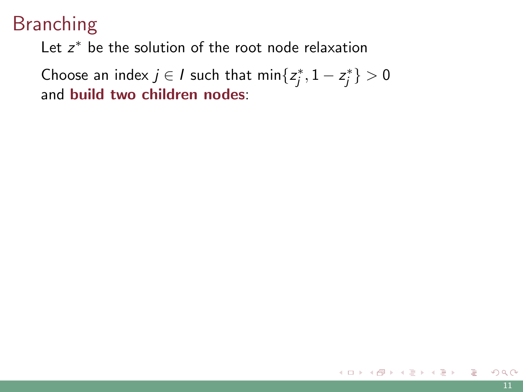Let  $z^*$  be the solution of the root node relaxation

Choose an index  $j \in I$  such that  $\min\{z_j^*, 1 - z_j^*\} > 0$ and build two children nodes: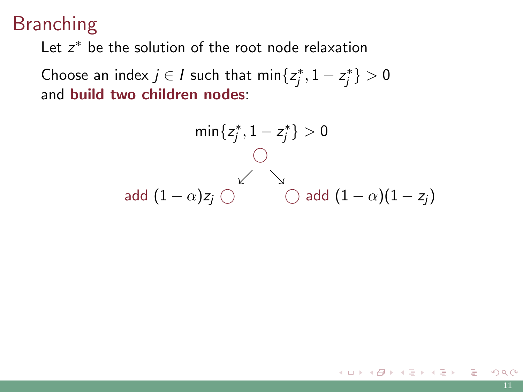Let  $z^*$  be the solution of the root node relaxation

Choose an index  $j \in I$  such that  $\min\{z_j^*, 1 - z_j^*\} > 0$ and build two children nodes:

$$
\min\{z_j^*, 1 - z_j^*\} > 0
$$
  
①  
add (1 -  $\alpha$ ) $z_j$  ① add (1 -  $\alpha$ )(1 -  $z_j$ )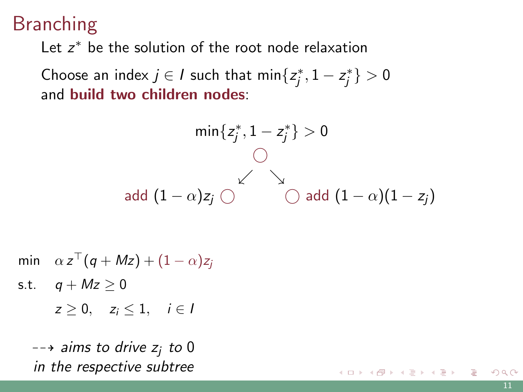<span id="page-18-0"></span>Let  $z^*$  be the solution of the root node relaxation

Choose an index  $j \in I$  such that  $\min\{z_j^*, 1 - z_j^*\} > 0$ and build two children nodes:

$$
\min\{z_j^*, 1 - z_j^*\} > 0
$$
  
 
$$
\bigcirc
$$
  
 
$$
\bigcirc
$$
  
 
$$
\bigcirc
$$
  
 
$$
\bigcirc
$$
  
 
$$
\bigcirc
$$
  
 
$$
\bigcirc
$$
  
 
$$
\bigcirc
$$
  
 
$$
\bigcirc
$$
  
 
$$
\bigcirc
$$
  
 
$$
(1 - \alpha)(1 - z_j)
$$

min  $\alpha z^{\top}(q+Mz) + (1-\alpha)z_j$ 

s.t.  $q + Mz \geq 0$ 

 $z > 0$ ,  $z_i < 1$ ,  $i \in I$ 

 $\rightarrow$  aims to drive  $z_i$  to 0 in the respective subtree

イロト 不優 トイヨト イヨト 一番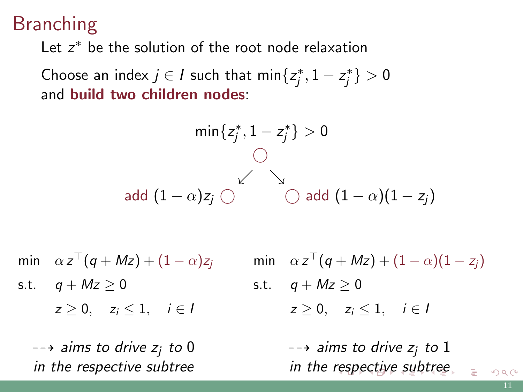<span id="page-19-0"></span>Let  $z^*$  be the solution of the root node relaxation

Choose an index  $j \in I$  such that  $\min\{z_j^*, 1 - z_j^*\} > 0$ and build two children nodes:

$$
\min\{z_j^*, 1 - z_j^*\} > 0
$$
  
 
$$
\bigcirc
$$
  
 
$$
\bigcirc
$$
  
 
$$
\bigcirc
$$
  
 
$$
\bigcirc
$$
  
 
$$
\bigcirc
$$
  
 
$$
\bigcirc
$$
  
 
$$
\bigcirc
$$
  
 
$$
\bigcirc
$$
  
 
$$
\bigcirc
$$
  
 
$$
\bigcirc
$$
  
 
$$
(1 - \alpha)(1 - z_j)
$$

min  $\alpha z^{\top}(q+Mz) + (1-\alpha)z_j$ 

s.t.  $q + Mz \geq 0$  $z > 0$ ,  $z_i < 1$ ,  $i \in I$ 

 $\rightarrow$  aims to drive  $z_i$  to 0 in the respective subtree

$$
\begin{aligned}\n\min \quad &\alpha \, z^{\top} \big( q + Mz \big) + (1 - \alpha)(1 - z_j) \\
\text{s.t.} \quad & q + Mz \ge 0 \\
&z \ge 0, \quad & z_i \le 1, \quad i \in I\n\end{aligned}
$$

 $\rightarrow$  aims to drive  $z_i$  to 1 in the [res](#page-18-0)[pe](#page-20-0)[c](#page-14-0)[ti](#page-15-0)[v](#page-19-0)[e](#page-20-0) [su](#page-0-0)[bt](#page-59-0)[re](#page-0-0)[e](#page-59-0)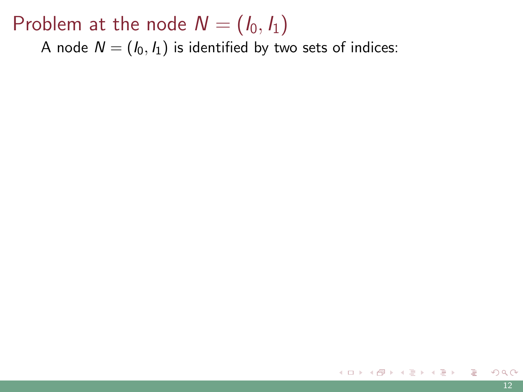### <span id="page-20-0"></span>Problem at the node  $N = (I_0, I_1)$

A node  $N = (I_0, I_1)$  is identified by two sets of indices: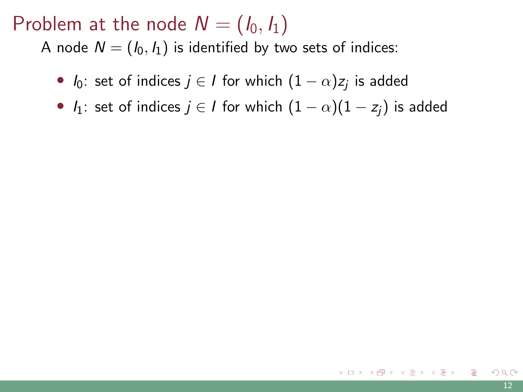### Problem at the node  $N = (I_0, I_1)$

A node  $N = (I_0, I_1)$  is identified by two sets of indices:

- $I_0$ : set of indices  $j \in I$  for which  $(1-\alpha)z_j$  is added
- $I_1$ : set of indices  $j \in I$  for which  $(1 \alpha)(1 z_i)$  is added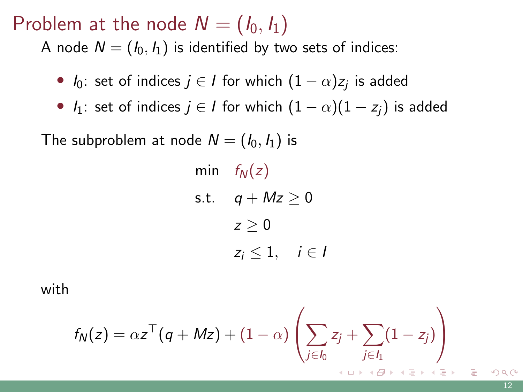### Problem at the node  $N = (I_0, I_1)$

A node  $N = (I_0, I_1)$  is identified by two sets of indices:

•  $I_0$ : set of indices  $j \in I$  for which  $(1-\alpha)z_j$  is added

•  $I_1$ : set of indices  $j \in I$  for which  $(1 - \alpha)(1 - z_i)$  is added

The subproblem at node  $N = (I_0, I_1)$  is

min  $f_N(z)$ s.t.  $q + Mz \geq 0$  $z > 0$  $z_i \leq 1, \quad i \in I$ 

with

$$
f_{N}(z) = \alpha z^{\top} (q + Mz) + (1 - \alpha) \left( \sum_{j \in I_0} z_j + \sum_{j \in I_1} (1 - z_j) \right)
$$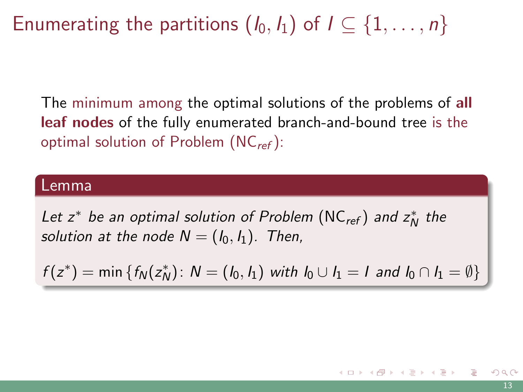# Enumerating the partitions  $(I_0, I_1)$  of  $I \subseteq \{1, \ldots, n\}$

The minimum among the optimal solutions of the problems of all leaf nodes of the fully enumerated branch-and-bound tree is the optimal solution of Problem  $(NC_{ref})$  $(NC_{ref})$ :

#### Lemma

Let  $z^*$  be an optimal solution of Problem [\(NC](#page-9-0)<sub>ref</sub>) and  $z_N^*$  the solution at the node  $N = (I_0, I_1)$ . Then,

 $f(z^*) = \min \{ f_N(z_N^*) : N = (l_0, l_1) \text{ with } l_0 \cup l_1 = l \text{ and } l_0 \cap l_1 = \emptyset \}$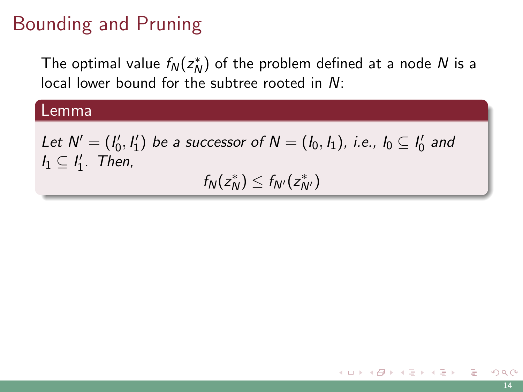# Bounding and Pruning

The optimal value  $f_N(z_N^*)$  of the problem defined at a node  $N$  is a local lower bound for the subtree rooted in N:

#### Lemma

Let  $N'=(l'_0, l'_1)$  be a successor of  $N=(l_0, l_1)$ , i.e.,  $l_0\subseteq l'_0$  and  $I_1 \subseteq I'_1$ . Then,

 $f_N(z_N^*) \le f_{N'}(z_{N'}^*)$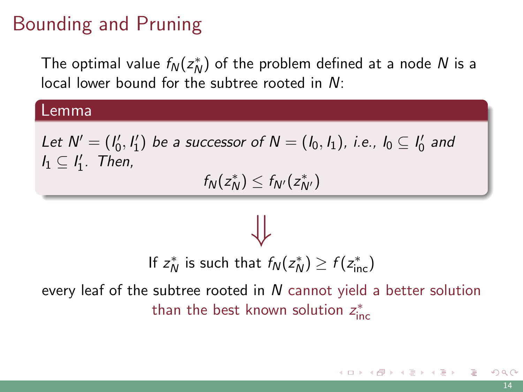## Bounding and Pruning

The optimal value  $f_N(z_N^*)$  of the problem defined at a node  $N$  is a local lower bound for the subtree rooted in N:

#### Lemma

Let  $N'=(l'_0, l'_1)$  be a successor of  $N=(l_0, l_1)$ , i.e.,  $l_0\subseteq l'_0$  and  $I_1 \subseteq I'_1$ . Then,

 $f_N(z_N^*) \le f_{N'}(z_{N'}^*)$ 

⇓ If  $z_N^*$  is such that  $f_N(z_N^*) \ge f(z_{\text{inc}}^*)$ every leaf of the subtree rooted in  $N$  cannot yield a better solution than the best known solution  $z_{\text{inc}}^*$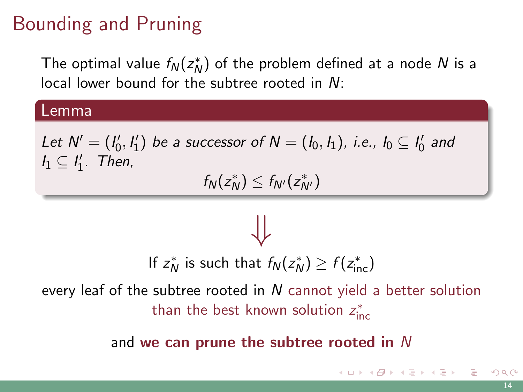# Bounding and Pruning

The optimal value  $f_N(z_N^*)$  of the problem defined at a node  $N$  is a local lower bound for the subtree rooted in N:

#### Lemma

Let  $N'=(l'_0, l'_1)$  be a successor of  $N=(l_0, l_1)$ , i.e.,  $l_0\subseteq l'_0$  and  $I_1 \subseteq I'_1$ . Then,

 $f_N(z_N^*) \le f_{N'}(z_{N'}^*)$ 

If  $z_N^*$  is such that  $f_N(z_N^*) \ge f(z_{\text{inc}}^*)$ 

⇓

every leaf of the subtree rooted in  $N$  cannot yield a better solution than the best known solution  $z_{\text{inc}}^*$ 

and we can prune the subtree rooted in N

K ロ ▶ K 個 ▶ K 결 ▶ K 결 ▶ │ 결 │ K) Q Q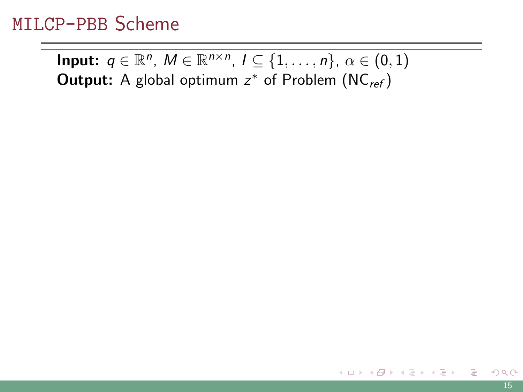Input:  $q \in \mathbb{R}^n$ ,  $M \in \mathbb{R}^{n \times n}$ ,  $I \subseteq \{1, \ldots, n\}$ ,  $\alpha \in (0, 1)$ **Output:** A global optimum  $z^*$  of Problem  $(NC_{ref})$  $(NC_{ref})$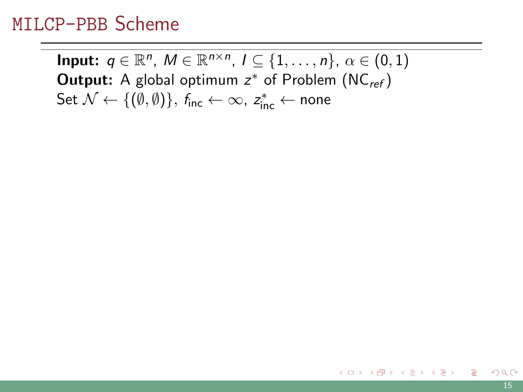Input:  $q \in \mathbb{R}^n$ ,  $M \in \mathbb{R}^{n \times n}$ ,  $I \subseteq \{1, \ldots, n\}$ ,  $\alpha \in (0, 1)$ **Output:** A global optimum  $z^*$  of Problem  $(NC_{ref})$  $(NC_{ref})$ Set  $\mathcal{N} \leftarrow \{(\emptyset, \emptyset)\},\ f_\mathsf{inc} \leftarrow \infty,\ z_\mathsf{inc}^* \leftarrow \mathsf{none}$ 

K ロ ▶ K 個 ▶ K 경 ▶ K 경 ▶ X / 경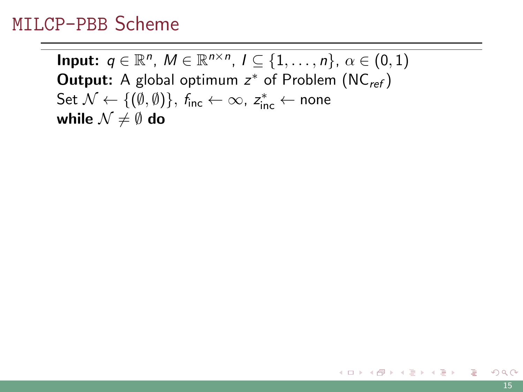Input:  $q \in \mathbb{R}^n$ ,  $M \in \mathbb{R}^{n \times n}$ ,  $I \subseteq \{1, \ldots, n\}$ ,  $\alpha \in (0, 1)$ **Output:** A global optimum  $z^*$  of Problem  $(NC_{ref})$  $(NC_{ref})$ Set  $\mathcal{N} \leftarrow \{(\emptyset, \emptyset)\},\ f_\mathsf{inc} \leftarrow \infty,\ z_\mathsf{inc}^* \leftarrow \mathsf{none}$ while  $\mathcal{N} \neq \emptyset$  do

K ロ ▶ K @ ▶ K 경 ▶ K 경 ▶ X 경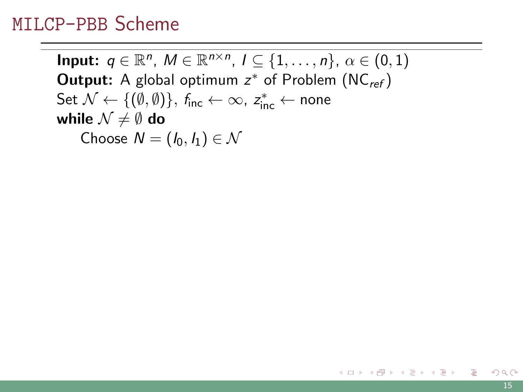Input:  $q \in \mathbb{R}^n$ ,  $M \in \mathbb{R}^{n \times n}$ ,  $I \subseteq \{1, \ldots, n\}$ ,  $\alpha \in (0, 1)$ **Output:** A global optimum  $z^*$  of Problem  $(NC_{ref})$  $(NC_{ref})$ Set  $\mathcal{N} \leftarrow \{(\emptyset, \emptyset)\},\ f_\mathsf{inc} \leftarrow \infty,\ z_\mathsf{inc}^* \leftarrow \mathsf{none}$ while  $\mathcal{N} \neq \emptyset$  do Choose  $N = (I_0, I_1) \in \mathcal{N}$ 

K ロ ▶ K @ ▶ K 경 ▶ K 경 ▶ X 경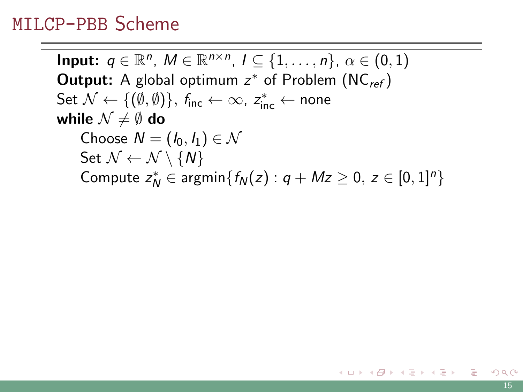Input:  $q \in \mathbb{R}^n$ ,  $M \in \mathbb{R}^{n \times n}$ ,  $I \subseteq \{1, \ldots, n\}$ ,  $\alpha \in (0, 1)$ **Output:** A global optimum  $z^*$  of Problem  $(NC_{ref})$  $(NC_{ref})$ Set  $\mathcal{N} \leftarrow \{(\emptyset, \emptyset)\},\ f_\mathsf{inc} \leftarrow \infty,\ z_\mathsf{inc}^* \leftarrow \mathsf{none}$ while  $\mathcal{N} \neq \emptyset$  do Choose  $N = (I_0, I_1) \in \mathcal{N}$ Set  $\mathcal{N} \leftarrow \mathcal{N} \setminus \{N\}$ Compute  $z_N^* \in \text{argmin}\{f_N(z) : q + Mz \geq 0, z \in [0,1]^n\}$ 

 $\mathbf{C} = \mathbf{A} \in \mathbb{R} \times \mathbf{A} \oplus \mathbf{A} \times \mathbf{C} \oplus \mathbf{A} \times \mathbf{C} \oplus \mathbf{A}$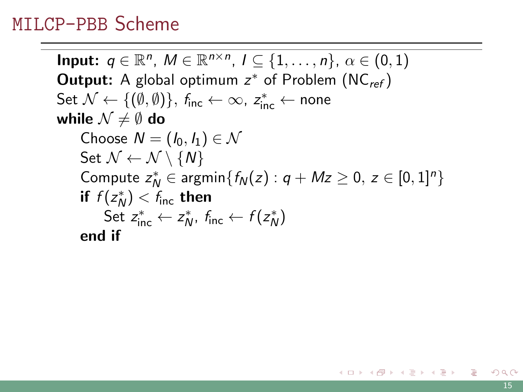Input:  $q \in \mathbb{R}^n$ ,  $M \in \mathbb{R}^{n \times n}$ ,  $I \subseteq \{1, \ldots, n\}$ ,  $\alpha \in (0, 1)$ **Output:** A global optimum  $z^*$  of Problem  $(NC_{ref})$  $(NC_{ref})$ Set  $\mathcal{N} \leftarrow \{(\emptyset, \emptyset)\},\ f_\mathsf{inc} \leftarrow \infty,\ z_\mathsf{inc}^* \leftarrow \mathsf{none}$ while  $\mathcal{N} \neq \emptyset$  do Choose  $N = (I_0, I_1) \in \mathcal{N}$ Set  $\mathcal{N} \leftarrow \mathcal{N} \setminus \{N\}$ Compute  $z_N^* \in \text{argmin}\{f_N(z) : q + Mz \geq 0, z \in [0,1]^n\}$ if  $f(z_N^*) < f_{\text{inc}}$  then Set  $z_{inc}^* \leftarrow z_N^*$ ,  $f_{inc} \leftarrow f(z_N^*)$ end if

イロト イ団 トメ ミト メ ミト ニ ミー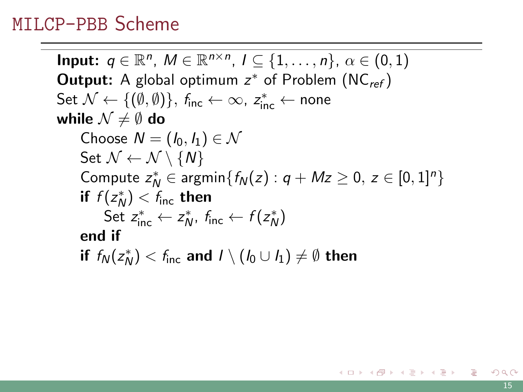Input:  $q \in \mathbb{R}^n$ ,  $M \in \mathbb{R}^{n \times n}$ ,  $I \subseteq \{1, \ldots, n\}$ ,  $\alpha \in (0, 1)$ **Output:** A global optimum  $z^*$  of Problem  $(NC_{ref})$  $(NC_{ref})$ Set  $\mathcal{N} \leftarrow \{(\emptyset, \emptyset)\},\ f_\mathsf{inc} \leftarrow \infty,\ z_\mathsf{inc}^* \leftarrow \mathsf{none}$ while  $\mathcal{N} \neq \emptyset$  do Choose  $N = (I_0, I_1) \in \mathcal{N}$ Set  $\mathcal{N} \leftarrow \mathcal{N} \setminus \{N\}$ Compute  $z_N^* \in \text{argmin}\{f_N(z) : q + Mz \geq 0, z \in [0,1]^n\}$ if  $f(z_N^*) < f_{\text{inc}}$  then Set  $z_{inc}^* \leftarrow z_N^*$ ,  $f_{inc} \leftarrow f(z_N^*)$ end if if  $f_\mathcal{N}(z_\mathcal{N}^*) < f_\mathsf{inc}$  and  $I \setminus (I_0 \cup I_1) \neq \emptyset$  then

 $\Omega$ 

K ロ ▶ K @ ▶ K 경 ▶ K 경 ▶ 《 경 》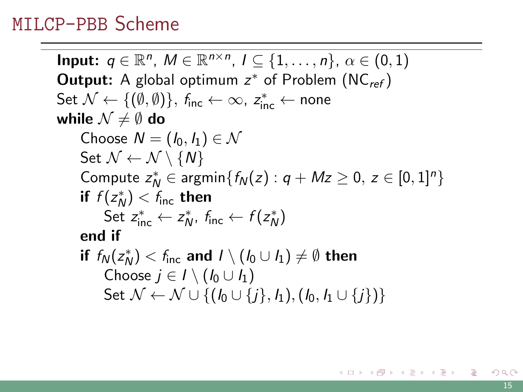Input:  $q \in \mathbb{R}^n$ ,  $M \in \mathbb{R}^{n \times n}$ ,  $I \subseteq \{1, \ldots, n\}$ ,  $\alpha \in (0, 1)$ **Output:** A global optimum  $z^*$  of Problem  $(NC_{ref})$  $(NC_{ref})$ Set  $\mathcal{N} \leftarrow \{(\emptyset, \emptyset)\},\ f_\mathsf{inc} \leftarrow \infty,\ z_\mathsf{inc}^* \leftarrow \mathsf{none}$ while  $\mathcal{N} \neq \emptyset$  do Choose  $N = (I_0, I_1) \in \mathcal{N}$ Set  $\mathcal{N} \leftarrow \mathcal{N} \setminus \{N\}$ Compute  $z_N^* \in \text{argmin}\{f_N(z) : q + Mz \geq 0, z \in [0,1]^n\}$ if  $f(z_N^*) < f_{\text{inc}}$  then Set  $z_{inc}^* \leftarrow z_N^*$ ,  $f_{inc} \leftarrow f(z_N^*)$ end if if  $f_\mathcal{N}(z_\mathcal{N}^*) < f_\mathsf{inc}$  and  $I \setminus (I_0 \cup I_1) \neq \emptyset$  then Choose  $j \in I \setminus (I_0 \cup I_1)$ Set  $N \leftarrow N \cup \{(I_0 \cup \{j\}, I_1), (I_0, I_1 \cup \{j\})\}$ 

K ロ > K 個 > K ミ > K ミ > 「ミ → の Q Q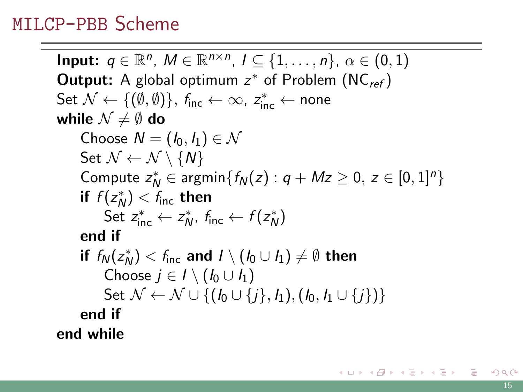Input:  $q \in \mathbb{R}^n$ ,  $M \in \mathbb{R}^{n \times n}$ ,  $I \subseteq \{1, \ldots, n\}$ ,  $\alpha \in (0, 1)$ **Output:** A global optimum  $z^*$  of Problem  $(NC_{ref})$  $(NC_{ref})$ Set  $\mathcal{N} \leftarrow \{(\emptyset, \emptyset)\},\ f_\mathsf{inc} \leftarrow \infty,\ z_\mathsf{inc}^* \leftarrow \mathsf{none}$ while  $\mathcal{N} \neq \emptyset$  do Choose  $N = (I_0, I_1) \in \mathcal{N}$ Set  $\mathcal{N} \leftarrow \mathcal{N} \setminus \{N\}$ Compute  $z_N^* \in \text{argmin}\{f_N(z) : q + Mz \geq 0, z \in [0,1]^n\}$ if  $f(z_N^*) < f_{\text{inc}}$  then Set  $z_{inc}^* \leftarrow z_N^*$ ,  $f_{inc} \leftarrow f(z_N^*)$ end if if  $f_\mathcal{N}(z_\mathcal{N}^*) < f_\mathsf{inc}$  and  $I \setminus (I_0 \cup I_1) \neq \emptyset$  then Choose  $j \in I \setminus (I_0 \cup I_1)$ Set  $\mathcal{N} \leftarrow \mathcal{N} \cup \{(I_0 \cup \{i\}, I_1), (I_0, I_1 \cup \{i\})\}$ end if end while

K ロ > K 個 > K ミ > K ミ > 「ミ → の Q Q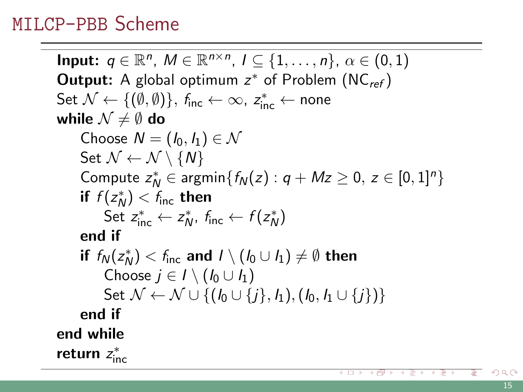Input:  $q \in \mathbb{R}^n$ ,  $M \in \mathbb{R}^{n \times n}$ ,  $I \subseteq \{1, \ldots, n\}$ ,  $\alpha \in (0, 1)$ **Output:** A global optimum  $z^*$  of Problem  $(NC_{ref})$  $(NC_{ref})$ Set  $\mathcal{N} \leftarrow \{(\emptyset, \emptyset)\},\ f_\mathsf{inc} \leftarrow \infty,\ z_\mathsf{inc}^* \leftarrow \mathsf{none}$ while  $\mathcal{N} \neq \emptyset$  do Choose  $N = (I_0, I_1) \in \mathcal{N}$ Set  $\mathcal{N} \leftarrow \mathcal{N} \setminus \{N\}$ Compute  $z_N^* \in \text{argmin}\{f_N(z) : q + Mz \geq 0, z \in [0,1]^n\}$ if  $f(z_N^*) < f_{\text{inc}}$  then Set  $z_{inc}^* \leftarrow z_N^*$ ,  $f_{inc} \leftarrow f(z_N^*)$ end if if  $f_\mathcal{N}(z_\mathcal{N}^*) < f_\mathsf{inc}$  and  $I \setminus (I_0 \cup I_1) \neq \emptyset$  then Choose  $j \in I \setminus (I_0 \cup I_1)$ Set  $\mathcal{N} \leftarrow \mathcal{N} \cup \{(I_0 \cup \{i\}, I_1), (I_0, I_1 \cup \{i\})\}$ end if end while return  $z^*_{\text{inc}}$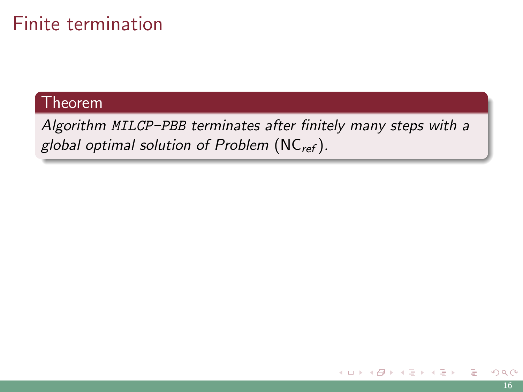## Finite termination

#### **Theorem**

Algorithm MILCP-PBB terminates after finitely many steps with a global optimal solution of Problem  $(NC_{ref})$  $(NC_{ref})$ .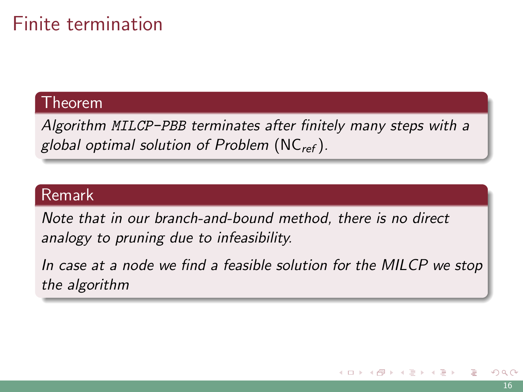## Finite termination

#### Theorem

Algorithm MILCP-PBB terminates after finitely many steps with a global optimal solution of Problem  $(NC_{ref})$  $(NC_{ref})$ .

#### Remark

Note that in our branch-and-bound method, there is no direct analogy to pruning due to infeasibility.

In case at a node we find a feasible solution for the MILCP we stop the algorithm

 $A\oplus A\rightarrow A\oplus A\rightarrow A\oplus A$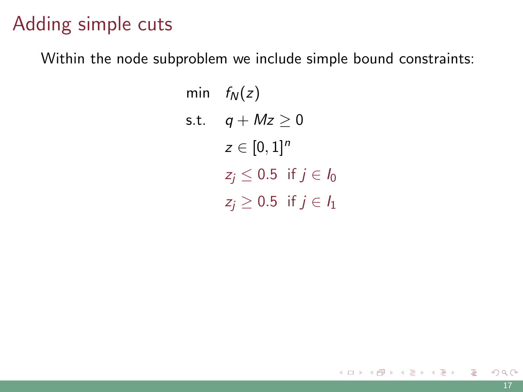## Adding simple cuts

Within the node subproblem we include simple bound constraints:

$$
\begin{aligned}\n\min \quad & f_N(z) \\
\text{s.t.} \quad & q + Mz \ge 0 \\
& z \in [0, 1]^n \\
& z_j \le 0.5 \quad \text{if } j \in I_0 \\
& z_j \ge 0.5 \quad \text{if } j \in I_1\n\end{aligned}
$$

目

メロメメ 御 メメ きょくきょう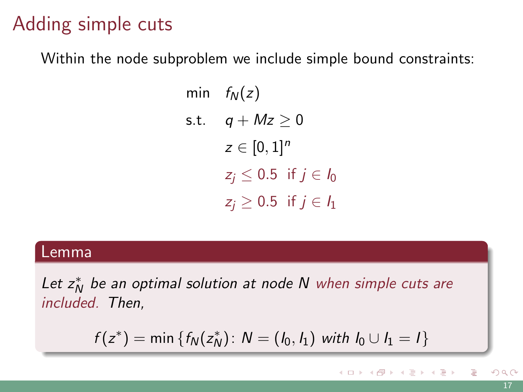## Adding simple cuts

Within the node subproblem we include simple bound constraints:

$$
\begin{aligned}\n\min \quad & f_N(z) \\
\text{s.t.} \quad & q + Mz \ge 0 \\
& z \in [0, 1]^n \\
& z_j \le 0.5 \quad \text{if } j \in I_0 \\
& z_j \ge 0.5 \quad \text{if } j \in I_1\n\end{aligned}
$$

#### Lemma

Let  $z_N^*$  be an optimal solution at node N when simple cuts are included. Then,

$$
f(z^*) = \min \{ f_N(z_N^*) : N = (l_0, l_1) \text{ with } l_0 \cup l_1 = l \}
$$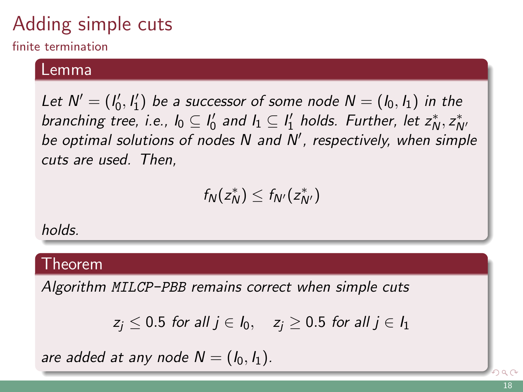# Adding simple cuts

finite termination

#### Lemma

Let  $N' = (I'_0, I'_1)$  be a successor of some node  $N = (I_0, I_1)$  in the branching tree, i.e.,  $I_0 \subseteq I'_0$  and  $I_1 \subseteq I'_1$  holds. Further, let  $z_N^*, z_{N'}^*$ be optimal solutions of nodes N and N', respectively, when simple cuts are used. Then,

$$
f_N(z_N^*)\leq f_{N'}(z_{N'}^*)
$$

holds.

#### Theorem

Algorithm MILCP-PBB remains correct when simple cuts

$$
z_j \leq 0.5
$$
 for all  $j \in I_0$ ,  $z_j \geq 0.5$  for all  $j \in I_1$ 

are added at any node  $N = (I_0, I_1)$ .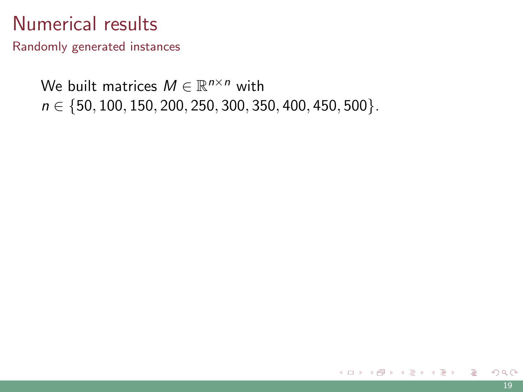Randomly generated instances

We built matrices  $M \in \mathbb{R}^{n \times n}$  with  $n \in \{50, 100, 150, 200, 250, 300, 350, 400, 450, 500\}.$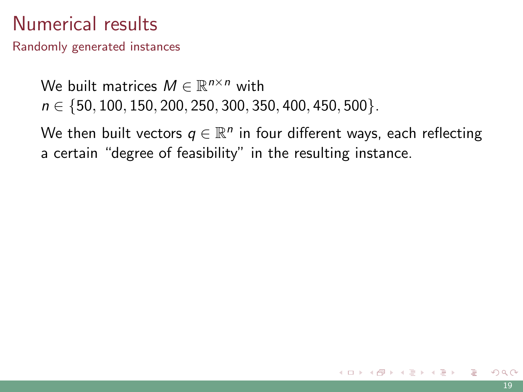Randomly generated instances

We built matrices  $M \in \mathbb{R}^{n \times n}$  with  $n \in \{50, 100, 150, 200, 250, 300, 350, 400, 450, 500\}.$ 

We then built vectors  $q \in \mathbb{R}^n$  in four different ways, each reflecting a certain "degree of feasibility" in the resulting instance.

イロト イ押 トイヨ トイヨ トー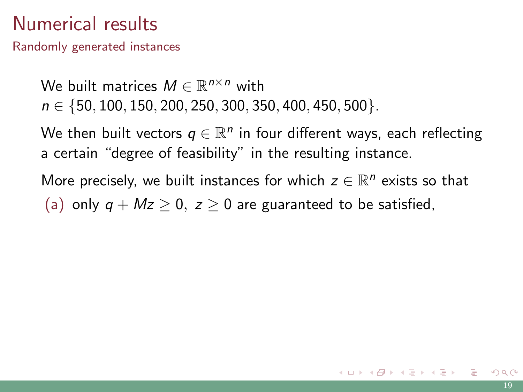Randomly generated instances

We built matrices  $M \in \mathbb{R}^{n \times n}$  with  $n \in \{50, 100, 150, 200, 250, 300, 350, 400, 450, 500\}.$ 

We then built vectors  $q \in \mathbb{R}^n$  in four different ways, each reflecting a certain "degree of feasibility" in the resulting instance.

More precisely, we built instances for which  $z \in \mathbb{R}^n$  exists so that (a) only  $q + Mz > 0$ ,  $z > 0$  are guaranteed to be satisfied,

K ロ X K @ X K 호 X K 호 X T 호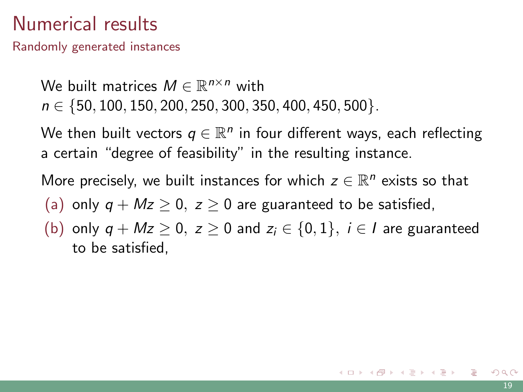Randomly generated instances

We built matrices  $M \in \mathbb{R}^{n \times n}$  with  $n \in \{50, 100, 150, 200, 250, 300, 350, 400, 450, 500\}.$ 

We then built vectors  $q \in \mathbb{R}^n$  in four different ways, each reflecting a certain "degree of feasibility" in the resulting instance.

More precisely, we built instances for which  $z \in \mathbb{R}^n$  exists so that

(a) only  $q + Mz > 0$ ,  $z > 0$  are guaranteed to be satisfied,

(b) only  $q + Mz \ge 0$ ,  $z \ge 0$  and  $z_i \in \{0, 1\}$ ,  $i \in I$  are guaranteed to be satisfied,

 $\mathbf{C} = \mathbf{A} \in \mathbb{R} \times \mathbf{A} \oplus \mathbf{A} \times \mathbf{C} \oplus \mathbf{A} \times \mathbf{C} \oplus \mathbf{A}$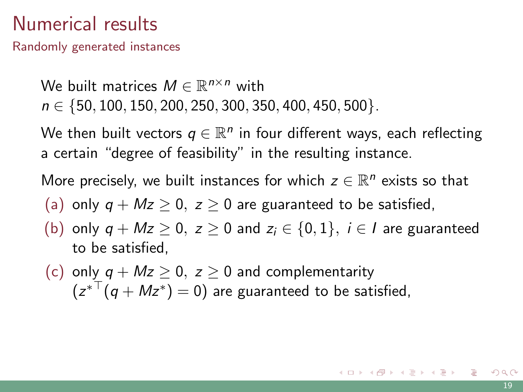Randomly generated instances

We built matrices  $M \in \mathbb{R}^{n \times n}$  with  $n \in \{50, 100, 150, 200, 250, 300, 350, 400, 450, 500\}.$ 

We then built vectors  $q \in \mathbb{R}^n$  in four different ways, each reflecting a certain "degree of feasibility" in the resulting instance.

More precisely, we built instances for which  $z \in \mathbb{R}^n$  exists so that

- (a) only  $q + Mz > 0$ ,  $z > 0$  are guaranteed to be satisfied,
- (b) only  $q + Mz \ge 0$ ,  $z \ge 0$  and  $z_i \in \{0,1\}$ ,  $i \in I$  are guaranteed to be satisfied,
- (c) only  $q + Mz > 0$ ,  $z > 0$  and complementarity  $(z^{*T}(q+Mz^*)=0)$  are guaranteed to be satisfied,

K ロ ▶ K @ ▶ K 경 ▶ K 경 ▶ 《 경 》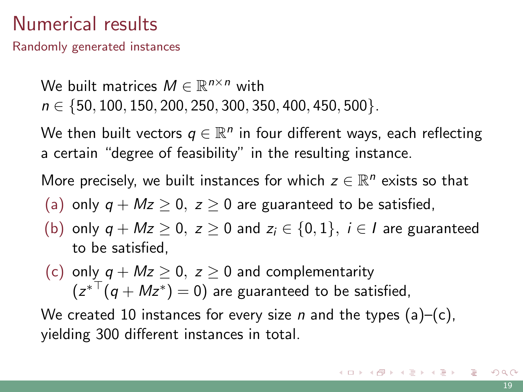Randomly generated instances

We built matrices  $M \in \mathbb{R}^{n \times n}$  with  $n \in \{50, 100, 150, 200, 250, 300, 350, 400, 450, 500\}.$ 

We then built vectors  $q \in \mathbb{R}^n$  in four different ways, each reflecting a certain "degree of feasibility" in the resulting instance.

More precisely, we built instances for which  $z \in \mathbb{R}^n$  exists so that

- (a) only  $q + Mz > 0$ ,  $z > 0$  are guaranteed to be satisfied,
- (b) only  $q + Mz \ge 0$ ,  $z \ge 0$  and  $z_i \in \{0,1\}$ ,  $i \in I$  are guaranteed to be satisfied,
- (c) only  $q + Mz > 0$ ,  $z > 0$  and complementarity  $(z^{*T}(q+Mz^*)=0)$  are guaranteed to be satisfied,

We created 10 instances for every size *n* and the types  $(a)$ – $(c)$ , yielding 300 different instances in total.

K ロ ▶ K 個 ▶ K 결 ▶ K 결 ▶ │ 결 │ K) Q Q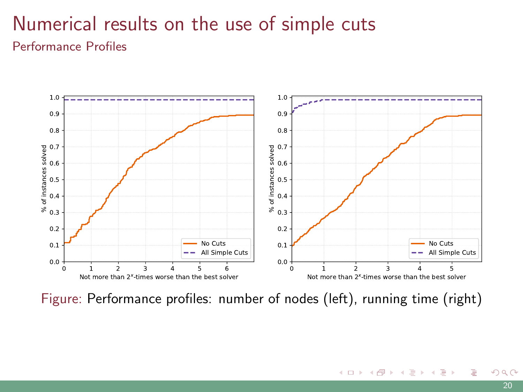### Numerical results on the use of simple cuts Performance Profiles



Figure: Performance profiles: number of nodes (left), running time (right)

E

メロトメ 御 トメ ミトメ ミト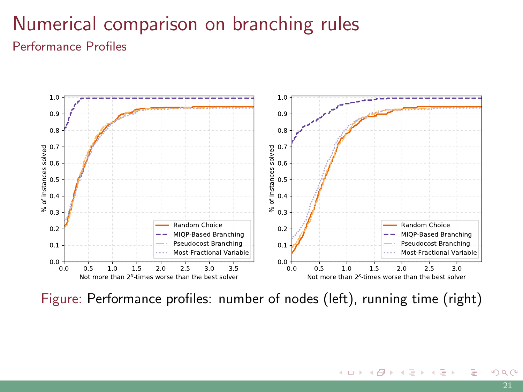## Numerical comparison on branching rules Performance Profiles



Figure: Performance profiles: number of nodes (left), running time (right)

 $299$ 

メロトメ 御 トメ ミトメ ミト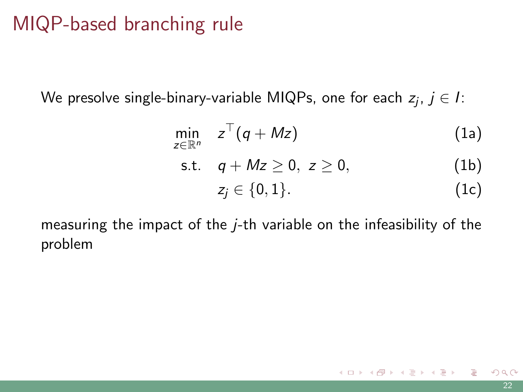## MIQP-based branching rule

We presolve single-binary-variable MIQPs, one for each  $z_j,\,j\in I$ :

$$
\min_{z\in\mathbb{R}^n} \quad z^\top (q+Mz) \tag{1a}
$$

s.t. 
$$
q + Mz \ge 0, z \ge 0,
$$
 (1b)  
 $z_j \in \{0, 1\}.$  (1c)

measuring the impact of the j-th variable on the infeasibility of the problem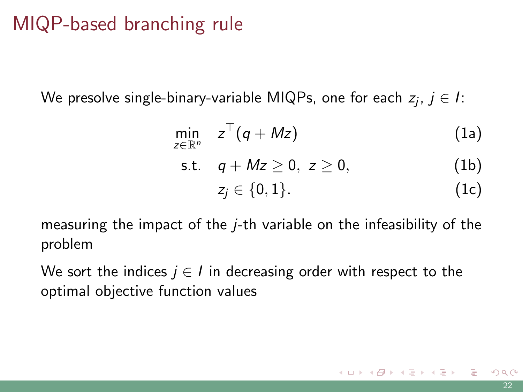## MIQP-based branching rule

We presolve single-binary-variable MIQPs, one for each  $z_j,\,j\in I$ :

$$
\min_{z\in\mathbb{R}^n} \quad z^\top (q+Mz) \tag{1a}
$$

s.t. 
$$
q + Mz \ge 0, z \ge 0,
$$
 (1b)  
 $z_j \in \{0, 1\}.$  (1c)

measuring the impact of the j-th variable on the infeasibility of the problem

We sort the indices  $j \in I$  in decreasing order with respect to the optimal objective function values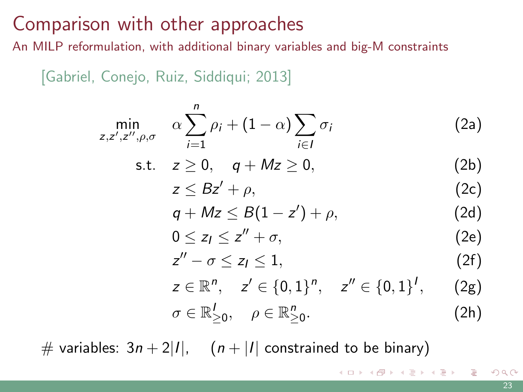## Comparison with other approaches

An MILP reformulation, with additional binary variables and big-M constraints

[Gabriel, Conejo, Ruiz, Siddiqui; 2013]

$$
\min_{z,z',z'',\rho,\sigma} \quad \alpha \sum_{i=1}^n \rho_i + (1-\alpha) \sum_{i \in I} \sigma_i \tag{2a}
$$

$$
\text{s.t.} \quad z \geq 0, \quad q + Mz \geq 0,\tag{2b}
$$

$$
z \leq Bz' + \rho,\tag{2c}
$$

$$
q + Mz \leq B(1 - z') + \rho, \qquad (2d)
$$

$$
0 \le z_I \le z'' + \sigma, \tag{2e}
$$

$$
z'' - \sigma \le z_l \le 1, \tag{2f}
$$

$$
z \in \mathbb{R}^n, \quad z' \in \{0, 1\}^n, \quad z'' \in \{0, 1\}^l, \quad (2g)
$$
  

$$
\sigma \in \mathbb{R}_{\geq 0}^l, \quad \rho \in \mathbb{R}_{\geq 0}^n.
$$
 (2h)

イロメ イ御 メイモメ イモメー 毛

# variables:  $3n + 2|I|$ ,  $(n + |I|)$  constrained to be binary)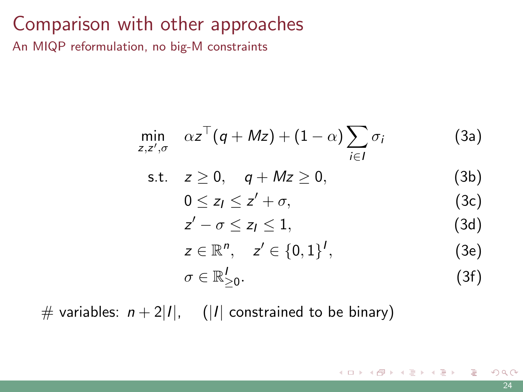### Comparison with other approaches

An MIQP reformulation, no big-M constraints

$$
\min_{z,z',\sigma} \alpha z^{\top} (q+Mz) + (1-\alpha) \sum_{i \in I} \sigma_i \tag{3a}
$$

$$
s.t. \quad z \geq 0, \quad q + Mz \geq 0,
$$
 (3b)

$$
0\leq z_1\leq z'+\sigma,\tag{3c}
$$

$$
z'-\sigma\leq z_1\leq 1,\qquad \qquad (3d)
$$

$$
z\in\mathbb{R}^n,\quad z'\in\{0,1\}^l,\tag{3e}
$$

$$
\sigma \in \mathbb{R}_{\geq 0}^I. \tag{3f}
$$

メロメメ 御 メメ きょくきょう

# variables:  $n + 2|I|$ , (|I| constrained to be binary)

重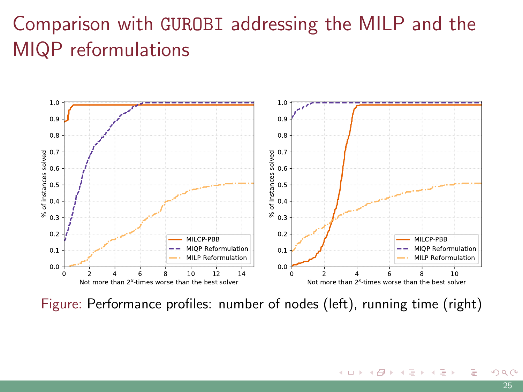# Comparison with GUROBI addressing the MILP and the MIQP reformulations



Figure: Performance profiles: number of nodes (left), running time (right)

э

イロト イ押 トイヨ トイヨ トー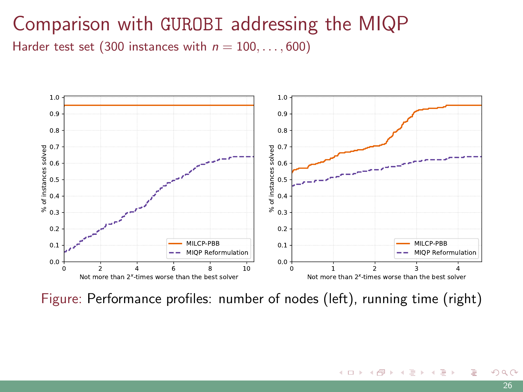### Comparison with GUROBI addressing the MIQP Harder test set (300 instances with  $n = 100, \ldots, 600$ )



Figure: Performance profiles: number of nodes (left), running time (right)

э

メロトメ 御 トメ ミトメ ミト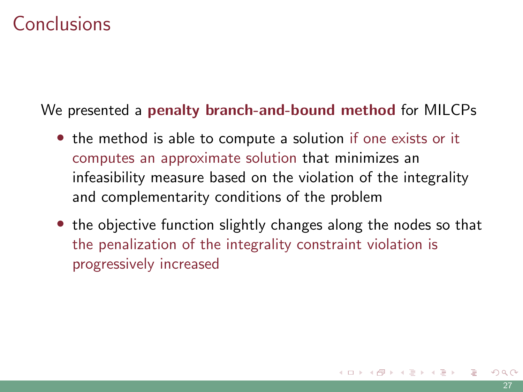## Conclusions

We presented a penalty branch-and-bound method for MILCPs

- the method is able to compute a solution if one exists or it computes an approximate solution that minimizes an infeasibility measure based on the violation of the integrality and complementarity conditions of the problem
- the objective function slightly changes along the nodes so that the penalization of the integrality constraint violation is progressively increased

イロト イ押 トイヨ トイヨ トー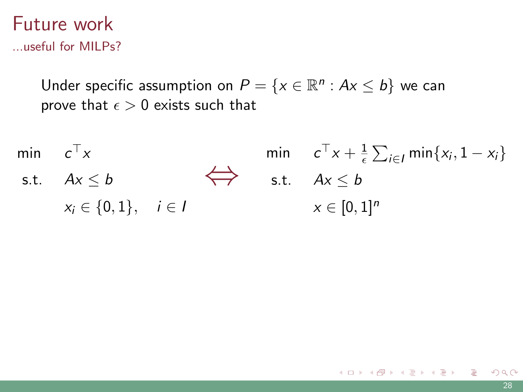#### Future work ...useful for MILPs?

Under specific assumption on  $P = \{x \in \mathbb{R}^n : Ax \leq b\}$  we can prove that  $\epsilon > 0$  exists such that

min  $c^{\top}x$ s.t.  $Ax \leq b$  $x_i \in \{0,1\}, \quad i \in I$  $\Leftrightarrow$  s.t.  $Ax \leq b$ min  $c^{\top}x + \frac{1}{6}$  $\frac{1}{\epsilon}\sum_{i\in I}$  min $\{x_i, 1-x_i\}$  $x \in [0, 1]^n$ 

K ロ ▶ K 御 ▶ K 결 ▶ K 결 ▶ ○ 결…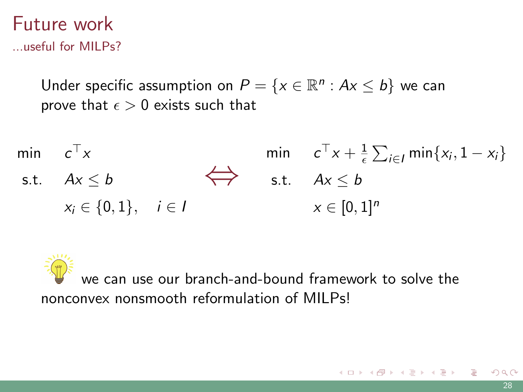### Future work ...useful for MILPs?

Under specific assumption on  $P = \{x \in \mathbb{R}^n : Ax \leq b\}$  we can prove that  $\epsilon > 0$  exists such that

min c min  $c^{\top}x$ s.t.  $Ax \leq b$   $\Leftrightarrow$  s.t.  $Ax \leq b$  $x_i \in \{0, 1\}, \quad i \in I$ min  $c^{\top}x + \frac{1}{\epsilon} \sum_{i \in I} \min\{x_i, 1 - x_i\}$ s.t.  $Ax \leq b$  $x \in [0,1]^n$ 

we can use our branch-and-bound framework to solve the nonconvex nonsmooth reformulation of MILPs!

K ロ ) K ( ① ) K ( 至 ) K ( 至 ) ( 三 글 )